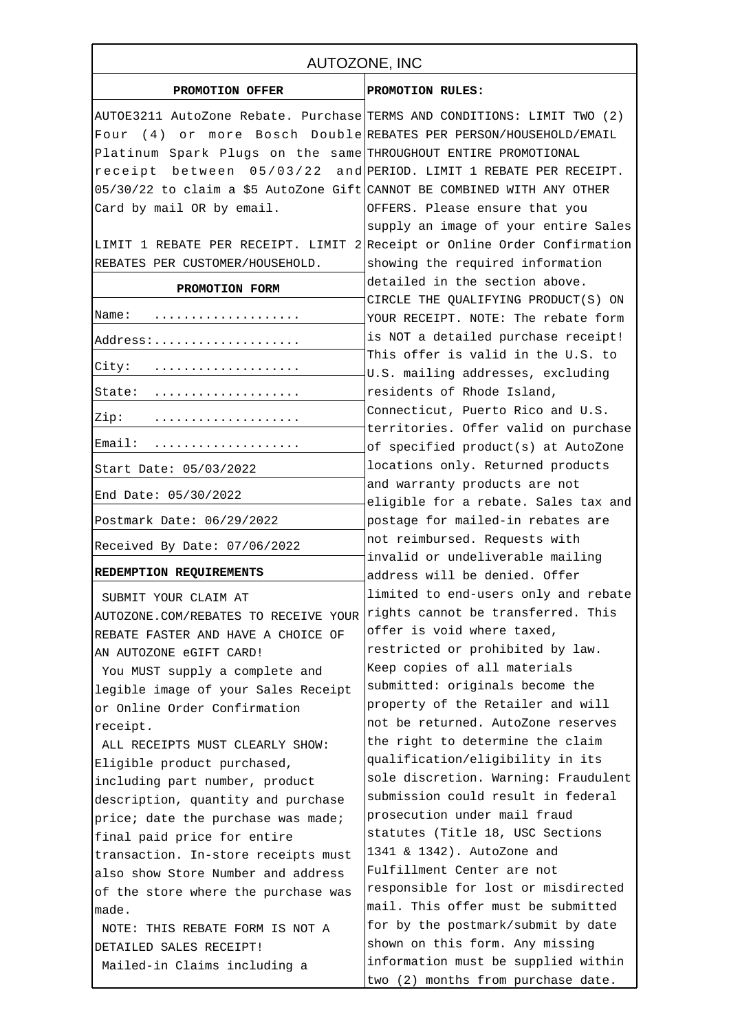| AUTOZONE, INC                                                            |                                                                            |
|--------------------------------------------------------------------------|----------------------------------------------------------------------------|
| PROMOTION OFFER                                                          | PROMOTION RULES:                                                           |
| AUTOE3211 AutoZone Rebate. Purchase TERMS AND CONDITIONS: LIMIT TWO (2)  |                                                                            |
| Four                                                                     | (4) or more Bosch Double REBATES PER PERSON/HOUSEHOLD/EMAIL                |
| Platinum Spark Plugs on the same THROUGHOUT ENTIRE PROMOTIONAL           |                                                                            |
| receipt between 05/03/22 and PERIOD. LIMIT 1 REBATE PER RECEIPT.         |                                                                            |
| 05/30/22 to claim a \$5 AutoZone Gift CANNOT BE COMBINED WITH ANY OTHER  |                                                                            |
| Card by mail OR by email.                                                | OFFERS. Please ensure that you                                             |
|                                                                          | supply an image of your entire Sales                                       |
| LIMIT 1 REBATE PER RECEIPT. LIMIT 2 Receipt or Online Order Confirmation |                                                                            |
| REBATES PER CUSTOMER/HOUSEHOLD.                                          | showing the required information                                           |
| PROMOTION FORM                                                           | detailed in the section above.                                             |
|                                                                          | CIRCLE THE QUALIFYING PRODUCT(S) ON                                        |
| Name:<br>.                                                               | YOUR RECEIPT. NOTE: The rebate form                                        |
| Address:                                                                 | is NOT a detailed purchase receipt!                                        |
| City:                                                                    | This offer is valid in the U.S. to                                         |
|                                                                          | U.S. mailing addresses, excluding                                          |
| State:                                                                   | residents of Rhode Island,                                                 |
| Zip:                                                                     | Connecticut, Puerto Rico and U.S.<br>territories. Offer valid on purchase  |
| Email:                                                                   | of specified product(s) at AutoZone                                        |
| Start Date: 05/03/2022                                                   | locations only. Returned products                                          |
| End Date: 05/30/2022                                                     | and warranty products are not<br>eligible for a rebate. Sales tax and      |
| Postmark Date: 06/29/2022                                                | postage for mailed-in rebates are                                          |
| Received By Date: 07/06/2022                                             | not reimbursed. Requests with                                              |
|                                                                          | invalid or undeliverable mailing                                           |
| REDEMPTION REQUIREMENTS                                                  | address will be denied. Offer                                              |
| SUBMIT YOUR CLAIM AT                                                     | limited to end-users only and rebate                                       |
| AUTOZONE.COM/REBATES TO RECEIVE YOUR                                     | rights cannot be transferred. This                                         |
| REBATE FASTER AND HAVE A CHOICE OF                                       | offer is void where taxed,                                                 |
| AN AUTOZONE eGIFT CARD!                                                  | restricted or prohibited by law.                                           |
| You MUST supply a complete and                                           | Keep copies of all materials                                               |
| legible image of your Sales Receipt                                      | submitted: originals become the                                            |
| or Online Order Confirmation                                             | property of the Retailer and will                                          |
| receipt.                                                                 | not be returned. AutoZone reserves                                         |
| ALL RECEIPTS MUST CLEARLY SHOW:                                          | the right to determine the claim                                           |
| Eligible product purchased,                                              | qualification/eligibility in its                                           |
| including part number, product                                           | sole discretion. Warning: Fraudulent<br>submission could result in federal |
| description, quantity and purchase                                       | prosecution under mail fraud                                               |
| price; date the purchase was made;                                       | statutes (Title 18, USC Sections                                           |
| final paid price for entire                                              | 1341 & 1342). AutoZone and                                                 |
| transaction. In-store receipts must                                      | Fulfillment Center are not                                                 |
| also show Store Number and address                                       | responsible for lost or misdirected                                        |
| of the store where the purchase was                                      | mail. This offer must be submitted                                         |
| made.                                                                    | for by the postmark/submit by date                                         |
| NOTE: THIS REBATE FORM IS NOT A                                          | shown on this form. Any missing                                            |
| DETAILED SALES RECEIPT!<br>Mailed-in Claims including a                  | information must be supplied within                                        |
|                                                                          | two (2) months from purchase date.                                         |